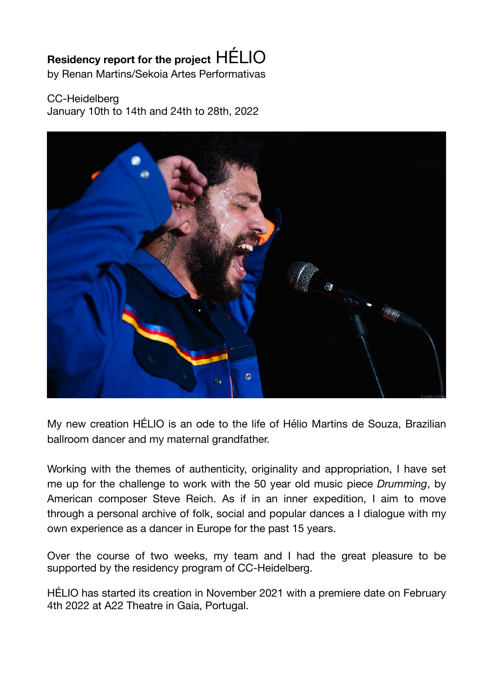## **Residency report for the project** HÉLIO

by Renan Martins/Sekoia Artes Performativas

## CC-Heidelberg

January 10th to 14th and 24th to 28th, 2022



My new creation HÉLIO is an ode to the life of Hélio Martins de Souza, Brazilian ballroom dancer and my maternal grandfather.

Working with the themes of authenticity, originality and appropriation, I have set me up for the challenge to work with the 50 year old music piece *Drumming*, by American composer Steve Reich. As if in an inner expedition, I aim to move through a personal archive of folk, social and popular dances a I dialogue with my own experience as a dancer in Europe for the past 15 years.

Over the course of two weeks, my team and I had the great pleasure to be supported by the residency program of CC-Heidelberg.

HÉLIO has started its creation in November 2021 with a premiere date on February 4th 2022 at A22 Theatre in Gaia, Portugal.